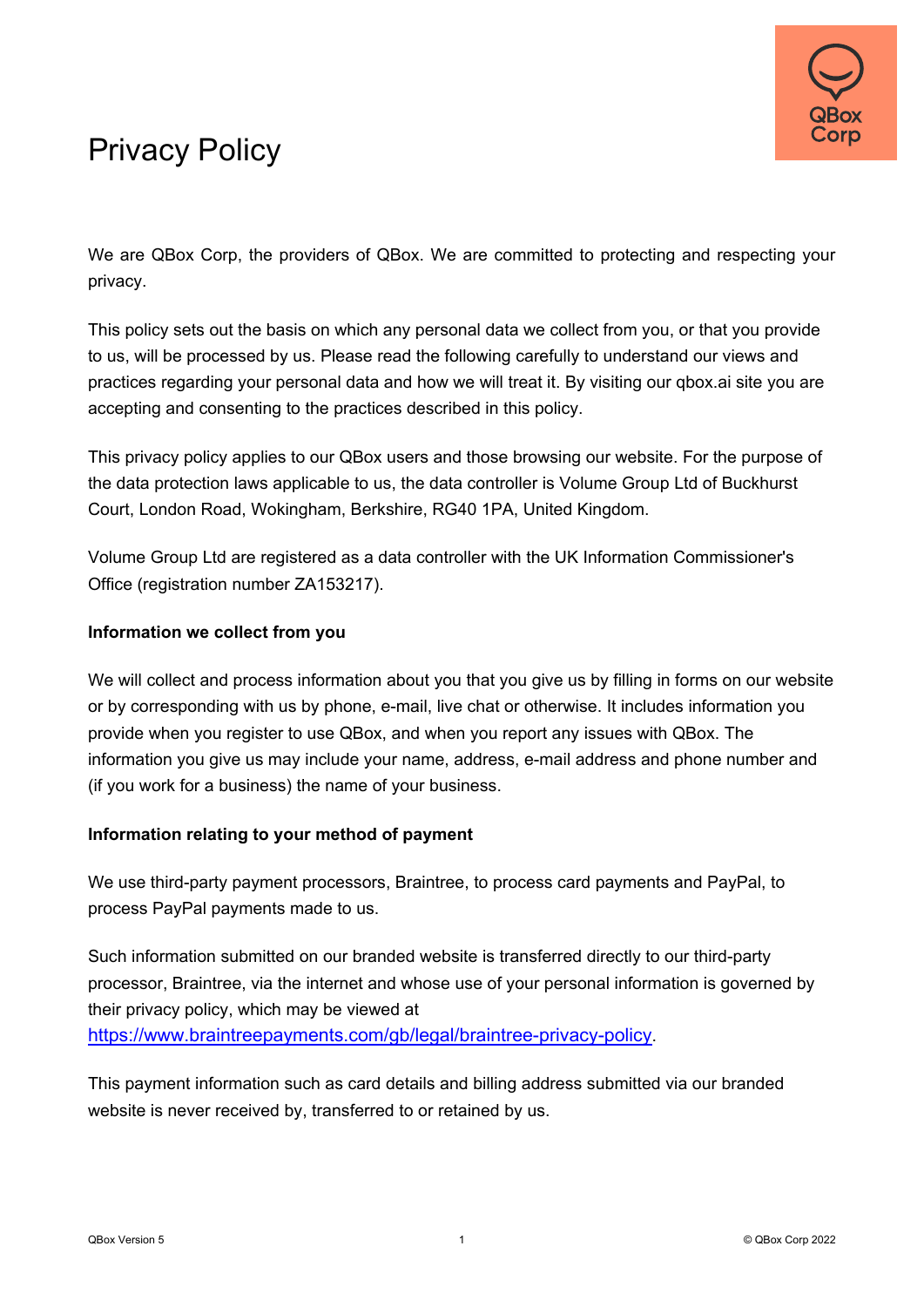

# Privacy Policy

We are QBox Corp, the providers of QBox. We are committed to protecting and respecting your privacy.

This policy sets out the basis on which any personal data we collect from you, or that you provide to us, will be processed by us. Please read the following carefully to understand our views and practices regarding your personal data and how we will treat it. By visiting our qbox.ai site you are accepting and consenting to the practices described in this policy.

This privacy policy applies to our QBox users and those browsing our website. For the purpose of the data protection laws applicable to us, the data controller is Volume Group Ltd of Buckhurst Court, London Road, Wokingham, Berkshire, RG40 1PA, United Kingdom.

Volume Group Ltd are registered as a data controller with the UK Information Commissioner's Office (registration number ZA153217).

# **Information we collect from you**

We will collect and process information about you that you give us by filling in forms on our website or by corresponding with us by phone, e-mail, live chat or otherwise. It includes information you provide when you register to use QBox, and when you report any issues with QBox. The information you give us may include your name, address, e-mail address and phone number and (if you work for a business) the name of your business.

## **Information relating to your method of payment**

We use third-party payment processors, Braintree, to process card payments and PayPal, to process PayPal payments made to us.

Such information submitted on our branded website is transferred directly to our third-party processor, Braintree, via the internet and whose use of your personal information is governed by their privacy policy, which may be viewed at [https://www.braintreepayments.com/gb/legal/braintree-privacy-policy.](https://www.braintreepayments.com/gb/legal/braintree-privacy-policy)

This payment information such as card details and billing address submitted via our branded website is never received by, transferred to or retained by us.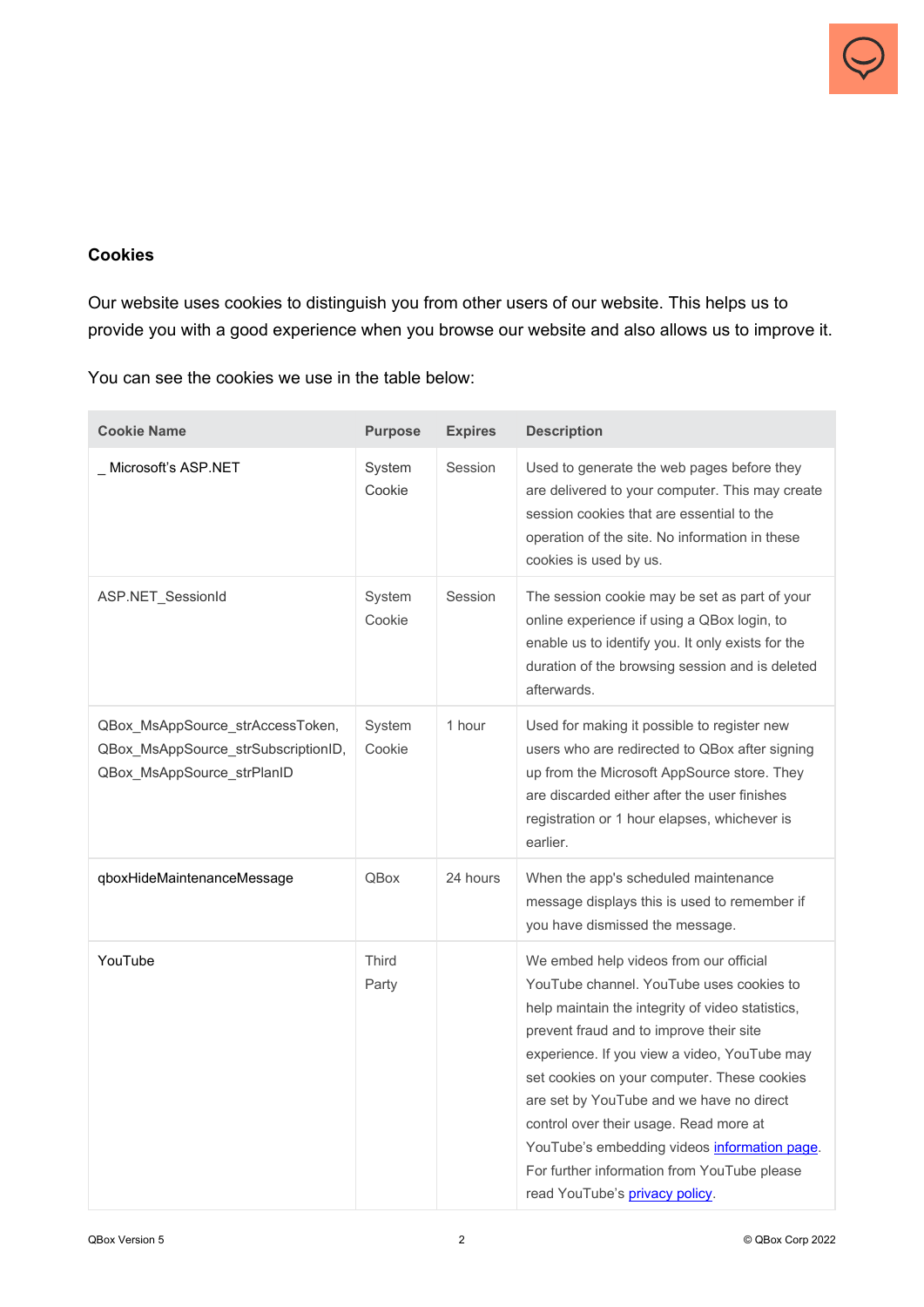

## **Cookies**

Our website uses cookies to distinguish you from other users of our website. This helps us to provide you with a good experience when you browse our website and also allows us to improve it.

You can see the cookies we use in the table below:

| <b>Cookie Name</b>                                                                                    | <b>Purpose</b>        | <b>Expires</b> | <b>Description</b>                                                                                                                                                                                                                                                                                                                                                                                                                                                                                      |
|-------------------------------------------------------------------------------------------------------|-----------------------|----------------|---------------------------------------------------------------------------------------------------------------------------------------------------------------------------------------------------------------------------------------------------------------------------------------------------------------------------------------------------------------------------------------------------------------------------------------------------------------------------------------------------------|
| _Microsoft's ASP.NET                                                                                  | System<br>Cookie      | Session        | Used to generate the web pages before they<br>are delivered to your computer. This may create<br>session cookies that are essential to the<br>operation of the site. No information in these<br>cookies is used by us.                                                                                                                                                                                                                                                                                  |
| ASP.NET_SessionId                                                                                     | System<br>Cookie      | Session        | The session cookie may be set as part of your<br>online experience if using a QBox login, to<br>enable us to identify you. It only exists for the<br>duration of the browsing session and is deleted<br>afterwards.                                                                                                                                                                                                                                                                                     |
| QBox MsAppSource strAccessToken,<br>QBox_MsAppSource_strSubscriptionID,<br>QBox_MsAppSource_strPlanID | System<br>Cookie      | 1 hour         | Used for making it possible to register new<br>users who are redirected to QBox after signing<br>up from the Microsoft AppSource store. They<br>are discarded either after the user finishes<br>registration or 1 hour elapses, whichever is<br>earlier.                                                                                                                                                                                                                                                |
| qboxHideMaintenanceMessage                                                                            | QBox                  | 24 hours       | When the app's scheduled maintenance<br>message displays this is used to remember if<br>you have dismissed the message.                                                                                                                                                                                                                                                                                                                                                                                 |
| YouTube                                                                                               | <b>Third</b><br>Party |                | We embed help videos from our official<br>YouTube channel. YouTube uses cookies to<br>help maintain the integrity of video statistics,<br>prevent fraud and to improve their site<br>experience. If you view a video, YouTube may<br>set cookies on your computer. These cookies<br>are set by YouTube and we have no direct<br>control over their usage. Read more at<br>YouTube's embedding videos information page.<br>For further information from YouTube please<br>read YouTube's privacy policy. |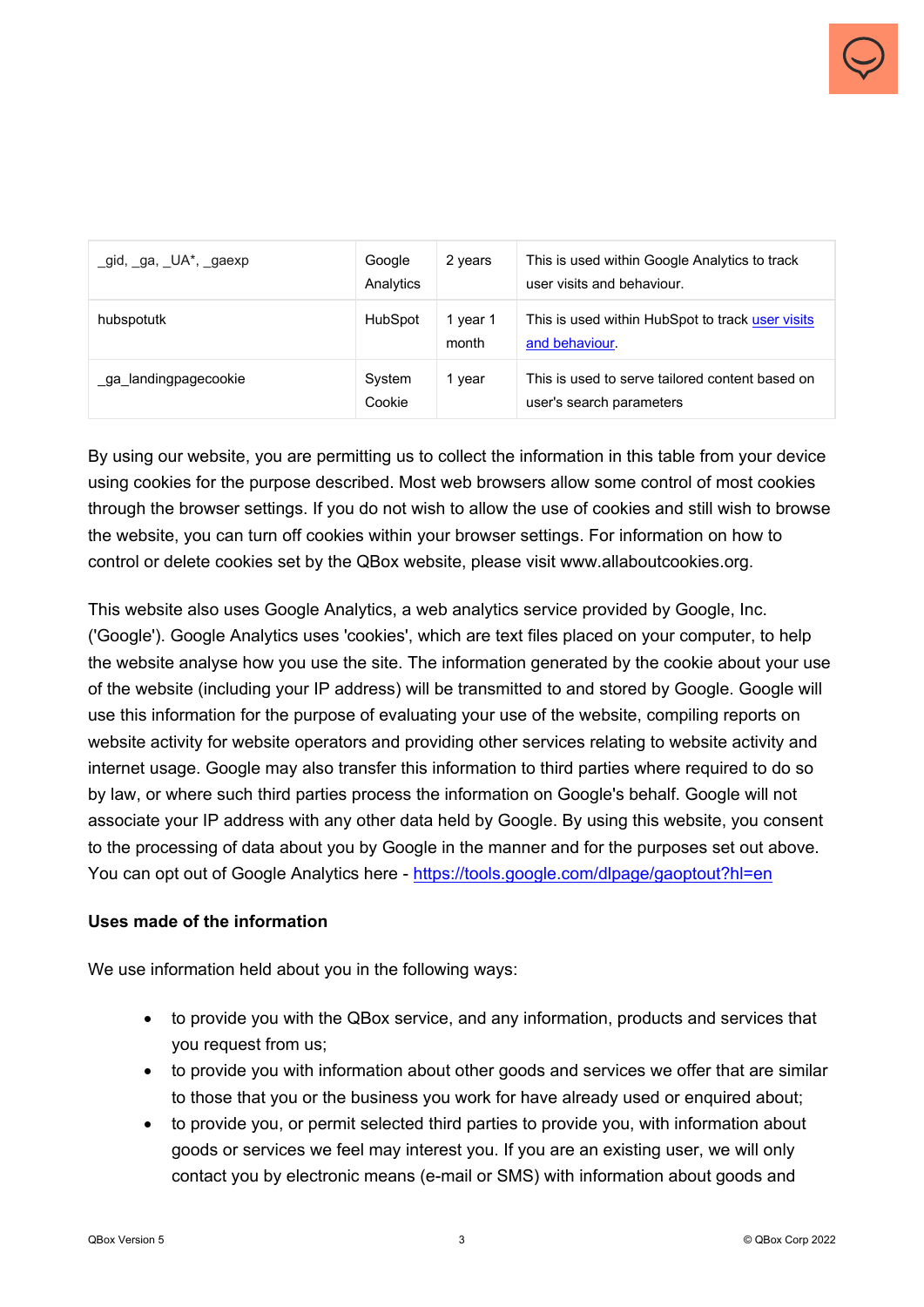| gid, ga, $UA^*$ , gaexp | Google<br>Analytics | 2 years           | This is used within Google Analytics to track<br>user visits and behaviour. |
|-------------------------|---------------------|-------------------|-----------------------------------------------------------------------------|
| hubspotutk              | HubSpot             | 1 year 1<br>month | This is used within HubSpot to track user visits<br>and behaviour.          |
| _ga_landingpagecookie   | System<br>Cookie    | 1 year            | This is used to serve tailored content based on<br>user's search parameters |

By using our website, you are permitting us to collect the information in this table from your device using cookies for the purpose described. Most web browsers allow some control of most cookies through the browser settings. If you do not wish to allow the use of cookies and still wish to browse the website, you can turn off cookies within your browser settings. For information on how to control or delete cookies set by the QBox website, please visit www.allaboutcookies.org.

This website also uses Google Analytics, a web analytics service provided by Google, Inc. ('Google'). Google Analytics uses 'cookies', which are text files placed on your computer, to help the website analyse how you use the site. The information generated by the cookie about your use of the website (including your IP address) will be transmitted to and stored by Google. Google will use this information for the purpose of evaluating your use of the website, compiling reports on website activity for website operators and providing other services relating to website activity and internet usage. Google may also transfer this information to third parties where required to do so by law, or where such third parties process the information on Google's behalf. Google will not associate your IP address with any other data held by Google. By using this website, you consent to the processing of data about you by Google in the manner and for the purposes set out above. You can opt out of Google Analytics here -<https://tools.google.com/dlpage/gaoptout?hl=en>

# **Uses made of the information**

We use information held about you in the following ways:

- to provide you with the QBox service, and any information, products and services that you request from us;
- to provide you with information about other goods and services we offer that are similar to those that you or the business you work for have already used or enquired about;
- to provide you, or permit selected third parties to provide you, with information about goods or services we feel may interest you. If you are an existing user, we will only contact you by electronic means (e-mail or SMS) with information about goods and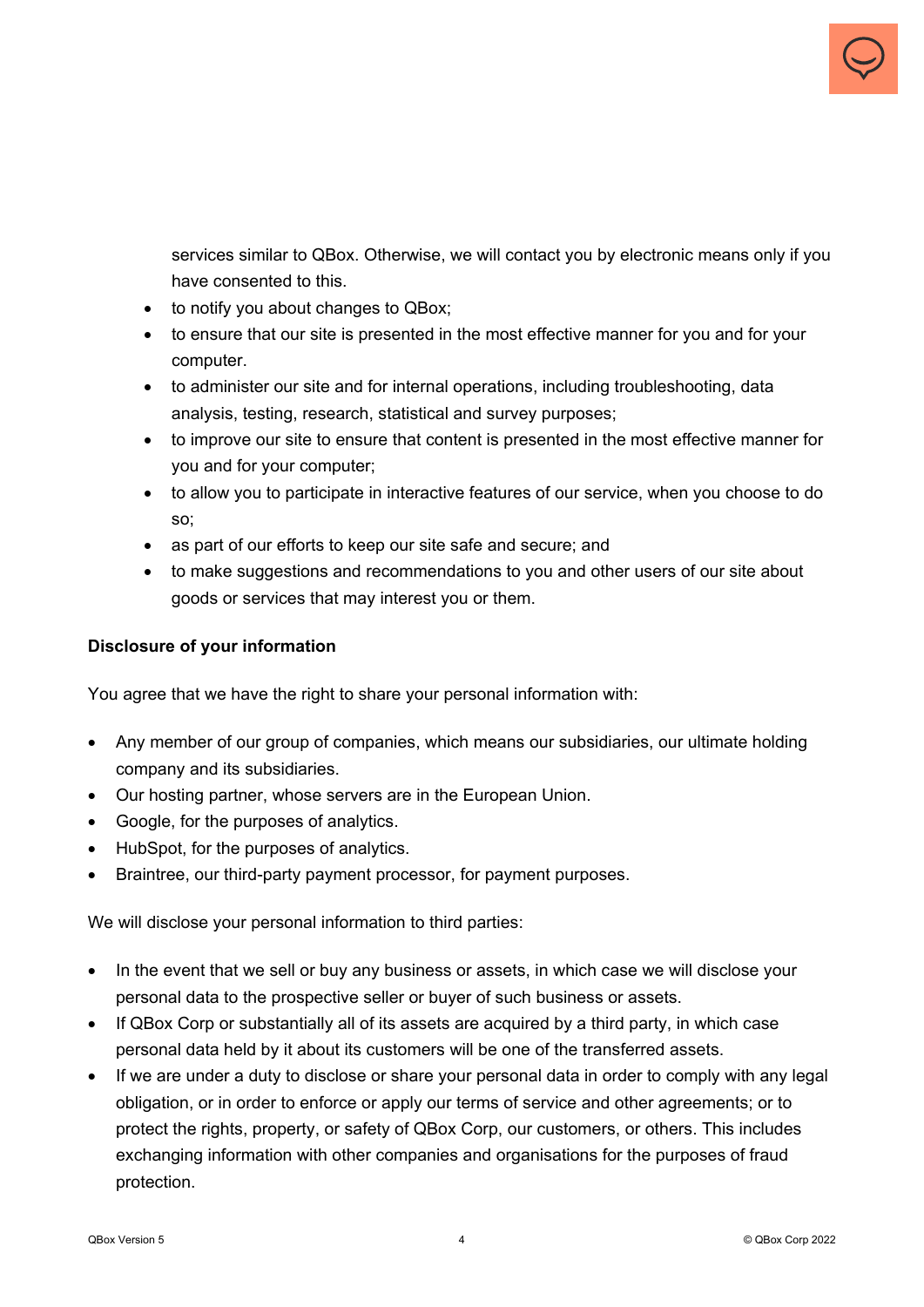

services similar to QBox. Otherwise, we will contact you by electronic means only if you have consented to this.

- to notify you about changes to QBox;
- to ensure that our site is presented in the most effective manner for you and for your computer.
- to administer our site and for internal operations, including troubleshooting, data analysis, testing, research, statistical and survey purposes;
- to improve our site to ensure that content is presented in the most effective manner for you and for your computer;
- to allow you to participate in interactive features of our service, when you choose to do so;
- as part of our efforts to keep our site safe and secure; and
- to make suggestions and recommendations to you and other users of our site about goods or services that may interest you or them.

## **Disclosure of your information**

You agree that we have the right to share your personal information with:

- Any member of our group of companies, which means our subsidiaries, our ultimate holding company and its subsidiaries.
- Our hosting partner, whose servers are in the European Union.
- Google, for the purposes of analytics.
- HubSpot, for the purposes of analytics.
- Braintree, our third-party payment processor, for payment purposes.

We will disclose your personal information to third parties:

- In the event that we sell or buy any business or assets, in which case we will disclose your personal data to the prospective seller or buyer of such business or assets.
- If QBox Corp or substantially all of its assets are acquired by a third party, in which case personal data held by it about its customers will be one of the transferred assets.
- If we are under a duty to disclose or share your personal data in order to comply with any legal obligation, or in order to enforce or apply our terms of service and other agreements; or to protect the rights, property, or safety of QBox Corp, our customers, or others. This includes exchanging information with other companies and organisations for the purposes of fraud protection.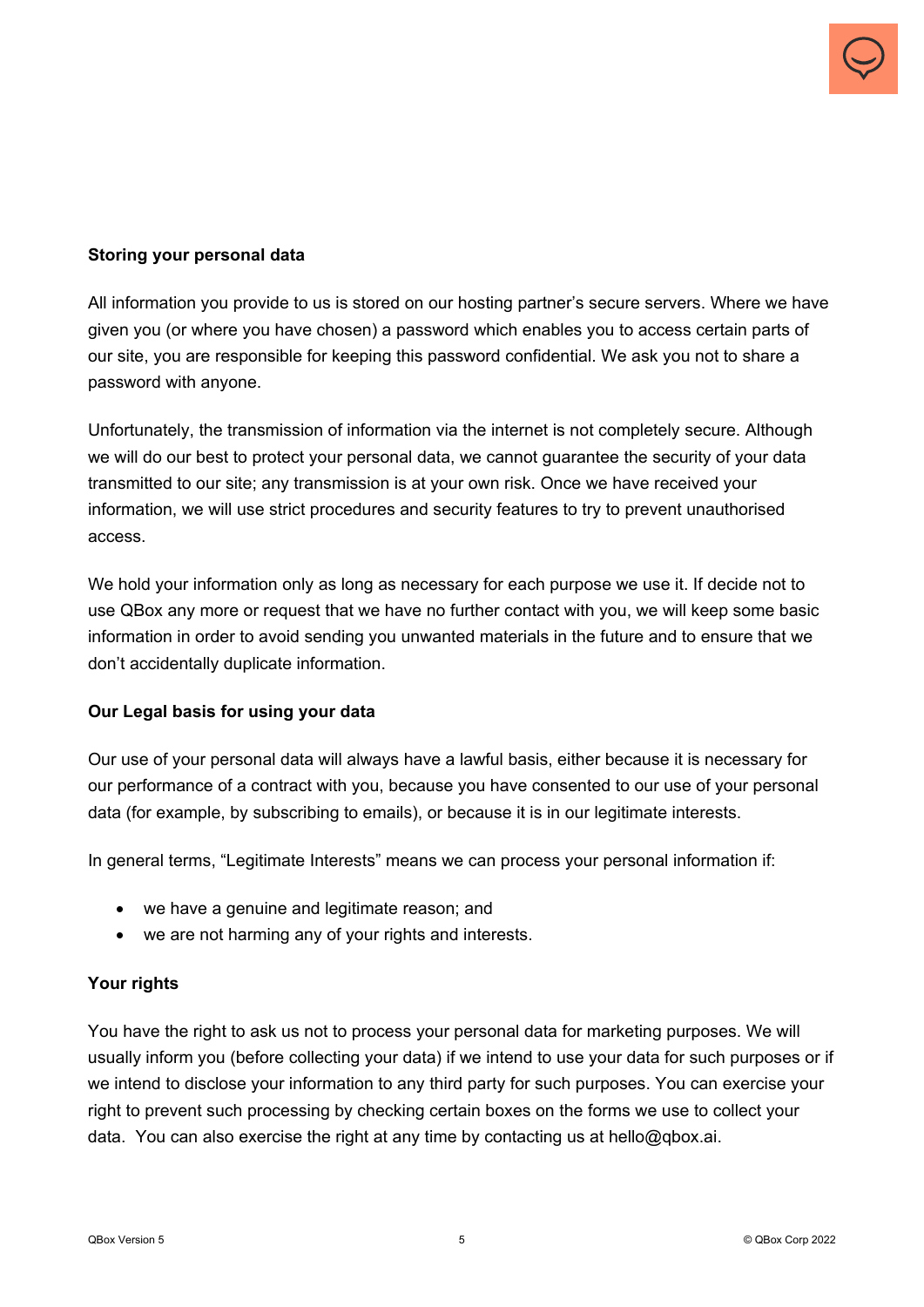

## **Storing your personal data**

All information you provide to us is stored on our hosting partner's secure servers. Where we have given you (or where you have chosen) a password which enables you to access certain parts of our site, you are responsible for keeping this password confidential. We ask you not to share a password with anyone.

Unfortunately, the transmission of information via the internet is not completely secure. Although we will do our best to protect your personal data, we cannot guarantee the security of your data transmitted to our site; any transmission is at your own risk. Once we have received your information, we will use strict procedures and security features to try to prevent unauthorised access.

We hold your information only as long as necessary for each purpose we use it. If decide not to use QBox any more or request that we have no further contact with you, we will keep some basic information in order to avoid sending you unwanted materials in the future and to ensure that we don't accidentally duplicate information.

## **Our Legal basis for using your data**

Our use of your personal data will always have a lawful basis, either because it is necessary for our performance of a contract with you, because you have consented to our use of your personal data (for example, by subscribing to emails), or because it is in our legitimate interests.

In general terms, "Legitimate Interests" means we can process your personal information if:

- we have a genuine and legitimate reason; and
- we are not harming any of your rights and interests.

## **Your rights**

You have the right to ask us not to process your personal data for marketing purposes. We will usually inform you (before collecting your data) if we intend to use your data for such purposes or if we intend to disclose your information to any third party for such purposes. You can exercise your right to prevent such processing by checking certain boxes on the forms we use to collect your data. You can also exercise the right at any time by contacting us at hello@qbox.ai.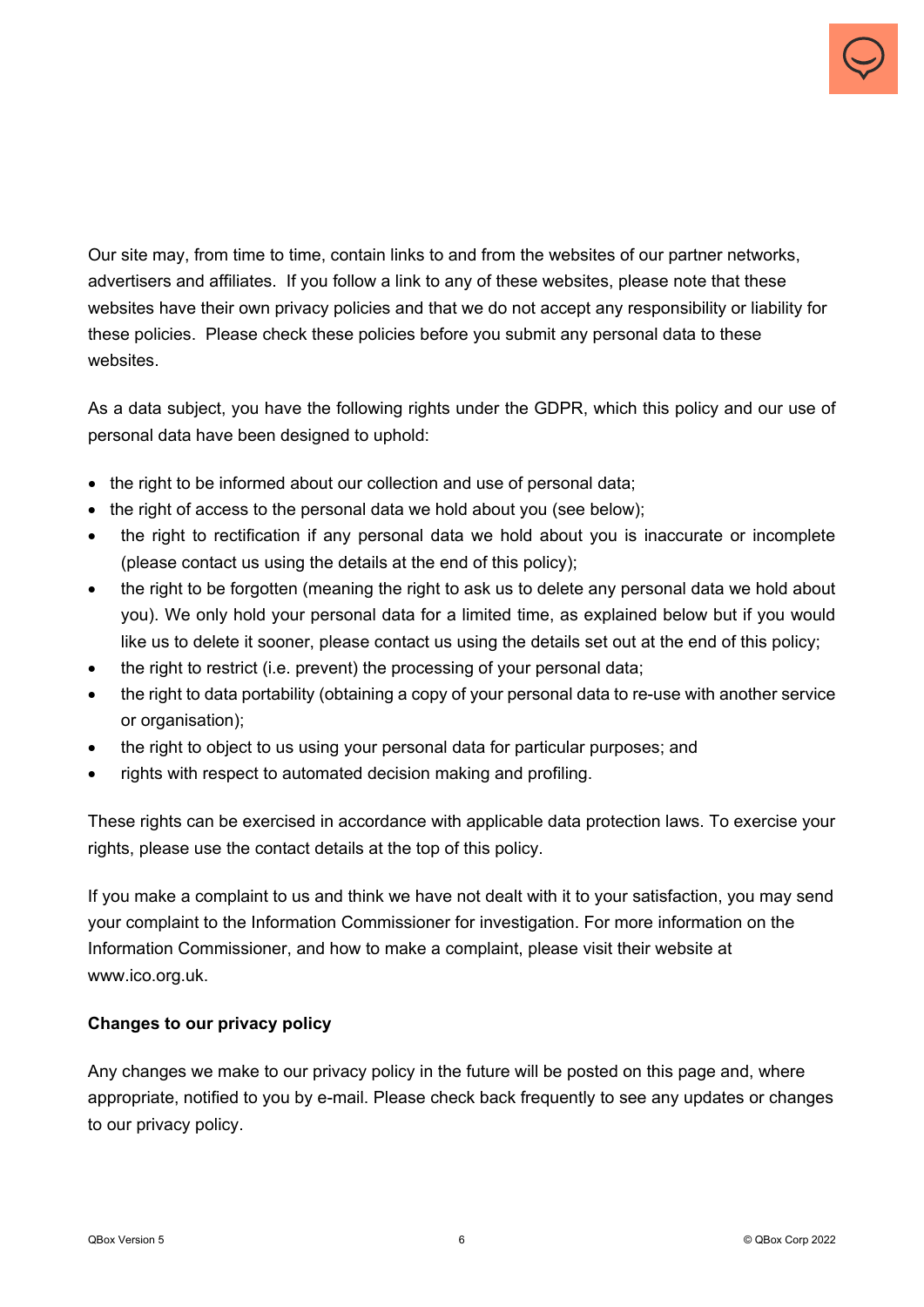

Our site may, from time to time, contain links to and from the websites of our partner networks, advertisers and affiliates. If you follow a link to any of these websites, please note that these websites have their own privacy policies and that we do not accept any responsibility or liability for these policies. Please check these policies before you submit any personal data to these websites.

As a data subject, you have the following rights under the GDPR, which this policy and our use of personal data have been designed to uphold:

- the right to be informed about our collection and use of personal data;
- the right of access to the personal data we hold about you (see below);
- the right to rectification if any personal data we hold about you is inaccurate or incomplete (please contact us using the details at the end of this policy);
- the right to be forgotten (meaning the right to ask us to delete any personal data we hold about you). We only hold your personal data for a limited time, as explained below but if you would like us to delete it sooner, please contact us using the details set out at the end of this policy;
- the right to restrict (i.e. prevent) the processing of your personal data;
- the right to data portability (obtaining a copy of your personal data to re-use with another service or organisation);
- the right to object to us using your personal data for particular purposes; and
- rights with respect to automated decision making and profiling.

These rights can be exercised in accordance with applicable data protection laws. To exercise your rights, please use the contact details at the top of this policy.

If you make a complaint to us and think we have not dealt with it to your satisfaction, you may send your complaint to the Information Commissioner for investigation. For more information on the Information Commissioner, and how to make a complaint, please visit their website at www.ico.org.uk.

## **Changes to our privacy policy**

Any changes we make to our privacy policy in the future will be posted on this page and, where appropriate, notified to you by e-mail. Please check back frequently to see any updates or changes to our privacy policy.